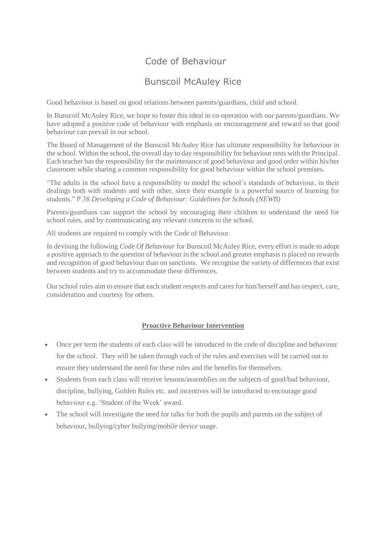# Code of Behaviour

# Bunscoil McAuley Rice

Good behaviour is based on good relations between parents/guardians, child and school.

In Bunscoil McAuley Rice, we hope to foster this ideal in co-operation with our parents/guardians. We have adopted a positive code of behaviour with emphasis on encouragement and reward so that good behaviour can prevail in our school.

The Board of Management of the Bunscoil McAuley Rice has ultimate responsibility for behaviour in the school. Within the school, the overall day to day responsibility for behaviour rests with the Principal. Each teacher has the responsibility for the maintenance of good behaviour and good order within his/her classroom while sharing a common responsibility for good behaviour within the school premises.

"The adults in the school have a responsibility to model the school's standards of behaviour, in their dealings both with students and with other, since their example is a powerful source of learning for students." P.38 *Developing a Code of Behaviour: Guidelines for Schools (NEWB)*

Parents/guardians can support the school by encouraging their children to understand the need for school rules, and by communicating any relevant concerns to the school.

All students are required to comply with the Code of Behaviour.

In devising the following *Code Of Behaviour* for Bunscoil McAuley Rice, every effort is made to adopt a positive approach to the question of behaviour in the school and greater emphasis is placed on rewards and recognition of good behaviour than on sanctions. We recognise the variety of differences that exist between students and try to accommodate these differences.

Our school rules aim to ensure that each student respects and cares for him/herself and has respect, care, consideration and courtesy for others.

### **Proactive Behaviour Intervention**

- Once per term the students of each class will be introduced to the code of discipline and behaviour for the school. They will be taken through each of the rules and exercises will be carried out to ensure they understand the need for these rules and the benefits for themselves.
- Students from each class will receive lessons/assemblies on the subjects of good/bad behaviour, discipline, bullying, Golden Rules etc. and incentives will be introduced to encourage good behaviour e.g. 'Student of the Week' award.
- The school will investigate the need for talks for both the pupils and parents on the subject of behaviour, bullying/cyber bullying/mobile device usage.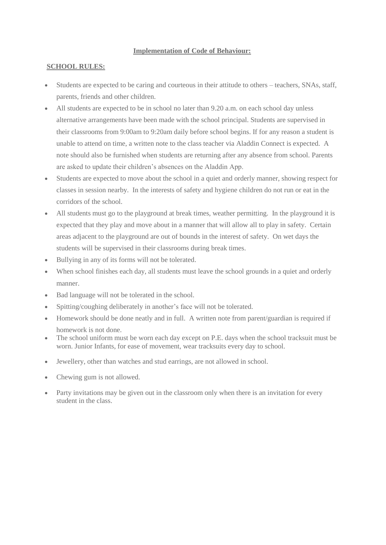#### **Implementation of Code of Behaviour:**

### **SCHOOL RULES:**

- Students are expected to be caring and courteous in their attitude to others teachers, SNAs, staff, parents, friends and other children.
- All students are expected to be in school no later than 9.20 a.m. on each school day unless alternative arrangements have been made with the school principal. Students are supervised in their classrooms from 9:00am to 9:20am daily before school begins. If for any reason a student is unable to attend on time, a written note to the class teacher via Aladdin Connect is expected. A note should also be furnished when students are returning after any absence from school. Parents are asked to update their children's absences on the Aladdin App.
- Students are expected to move about the school in a quiet and orderly manner, showing respect for classes in session nearby. In the interests of safety and hygiene children do not run or eat in the corridors of the school.
- All students must go to the playground at break times, weather permitting. In the playground it is expected that they play and move about in a manner that will allow all to play in safety. Certain areas adjacent to the playground are out of bounds in the interest of safety. On wet days the students will be supervised in their classrooms during break times.
- Bullying in any of its forms will not be tolerated.
- When school finishes each day, all students must leave the school grounds in a quiet and orderly manner.
- Bad language will not be tolerated in the school.
- Spitting/coughing deliberately in another's face will not be tolerated.
- Homework should be done neatly and in full. A written note from parent/guardian is required if homework is not done.
- The school uniform must be worn each day except on P.E. days when the school tracksuit must be worn. Junior Infants, for ease of movement, wear tracksuits every day to school.
- Jewellery, other than watches and stud earrings, are not allowed in school.
- Chewing gum is not allowed.
- Party invitations may be given out in the classroom only when there is an invitation for every student in the class.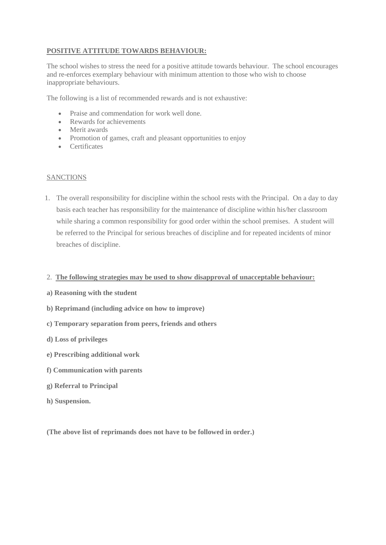## **POSITIVE ATTITUDE TOWARDS BEHAVIOUR:**

The school wishes to stress the need for a positive attitude towards behaviour. The school encourages and re-enforces exemplary behaviour with minimum attention to those who wish to choose inappropriate behaviours.

The following is a list of recommended rewards and is not exhaustive:

- Praise and commendation for work well done.
- Rewards for achievements
- Merit awards
- Promotion of games, craft and pleasant opportunities to enjoy
- Certificates

#### **SANCTIONS**

1. The overall responsibility for discipline within the school rests with the Principal. On a day to day basis each teacher has responsibility for the maintenance of discipline within his/her classroom while sharing a common responsibility for good order within the school premises. A student will be referred to the Principal for serious breaches of discipline and for repeated incidents of minor breaches of discipline.

#### 2. **The following strategies may be used to show disapproval of unacceptable behaviour:**

- **a) Reasoning with the student**
- **b) Reprimand (including advice on how to improve)**
- **c) Temporary separation from peers, friends and others**
- **d) Loss of privileges**
- **e) Prescribing additional work**
- **f) Communication with parents**
- **g) Referral to Principal**
- **h) Suspension.**

**(The above list of reprimands does not have to be followed in order.)**